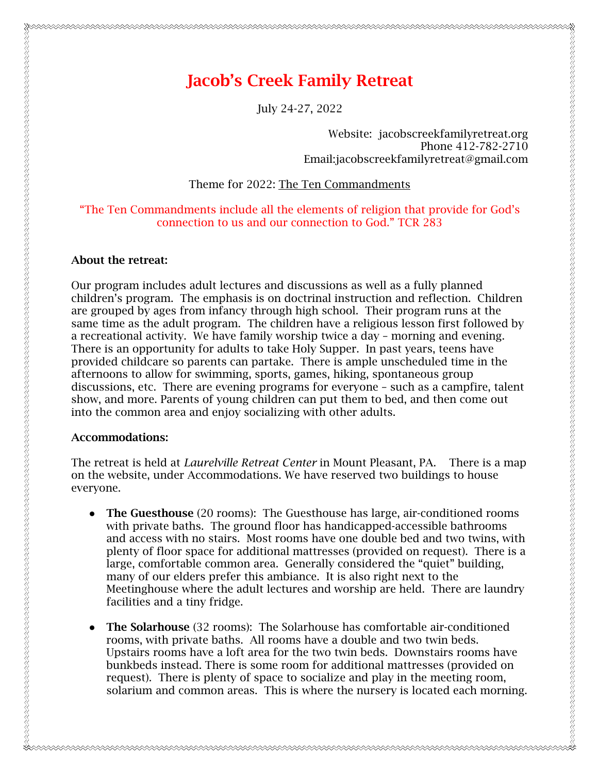# 

July 24-27, 2022

Website: jacobscreekfamilyretreat.org Phone 412-782-2710 Email:jacobscreekfamilyretreat@gmail.com

Theme for 2022: The Ten Commandments

# "The Ten Commandments include all the elements of religion that provide for God's connection to us and our connection to God." TCR 283

# About the retreat:

Our program includes adult lectures and discussions as well as a fully planned children's program. The emphasis is on doctrinal instruction and reflection. Children are grouped by ages from infancy through high school. Their program runs at the same time as the adult program. The children have a religious lesson first followed by a recreational activity. We have family worship twice a day – morning and evening. There is an opportunity for adults to take Holy Supper. In past years, teens have provided childcare so parents can partake. There is ample unscheduled time in the afternoons to allow for swimming, sports, games, hiking, spontaneous group discussions, etc. There are evening programs for everyone – such as a campfire, talent show, and more. Parents of young children can put them to bed, and then come out into the common area and enjoy socializing with other adults.

### Accommodations:

The retreat is held at *Laurelville Retreat Center* in Mount Pleasant, PA. There is a map on the website, under Accommodations. We have reserved two buildings to house everyone.

- The Guesthouse (20 rooms): The Guesthouse has large, air-conditioned rooms with private baths. The ground floor has handicapped-accessible bathrooms and access with no stairs. Most rooms have one double bed and two twins, with plenty of floor space for additional mattresses (provided on request). There is a large, comfortable common area. Generally considered the "quiet" building, many of our elders prefer this ambiance. It is also right next to the Meetinghouse where the adult lectures and worship are held. There are laundry facilities and a tiny fridge.
- The Solarhouse (32 rooms): The Solarhouse has comfortable air-conditioned rooms, with private baths. All rooms have a double and two twin beds. Upstairs rooms have a loft area for the two twin beds. Downstairs rooms have bunkbeds instead. There is some room for additional mattresses (provided on request). There is plenty of space to socialize and play in the meeting room, solarium and common areas. This is where the nursery is located each morning.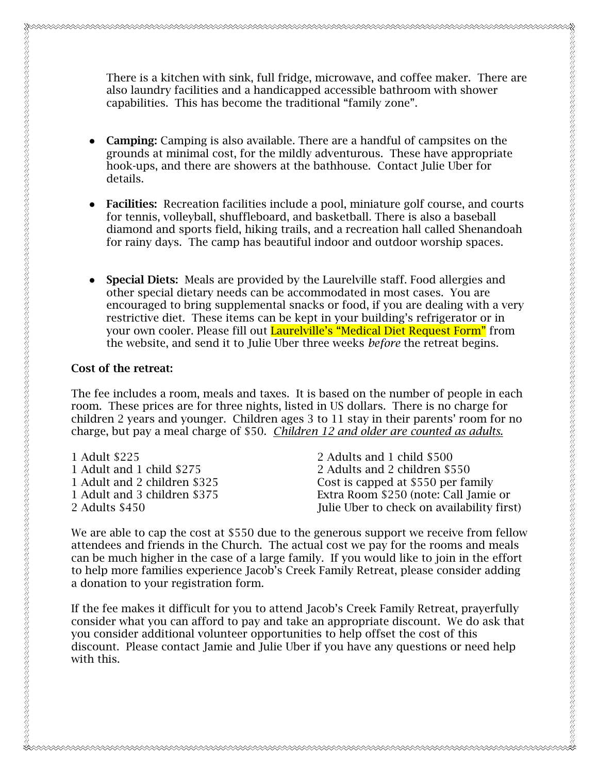There is a kitchen with sink, full fridge, microwave, and coffee maker. There are also laundry facilities and a handicapped accessible bathroom with shower capabilities. This has become the traditional "family zone".

- Camping: Camping is also available. There are a handful of campsites on the grounds at minimal cost, for the mildly adventurous. These have appropriate hook-ups, and there are showers at the bathhouse. Contact Julie Uber for details.
- Facilities: Recreation facilities include a pool, miniature golf course, and courts for tennis, volleyball, shuffleboard, and basketball. There is also a baseball diamond and sports field, hiking trails, and a recreation hall called Shenandoah for rainy days. The camp has beautiful indoor and outdoor worship spaces.
- **Special Diets:** Meals are provided by the Laurelville staff. Food allergies and other special dietary needs can be accommodated in most cases. You are encouraged to bring supplemental snacks or food, if you are dealing with a very restrictive diet. These items can be kept in your building's refrigerator or in your own cooler. Please fill out **Laurelville's "Medical Diet Request Form"** from the website, and send it to Julie Uber three weeks *before* the retreat begins.

### Cost of the retreat:

The fee includes a room, meals and taxes. It is based on the number of people in each room. These prices are for three nights, listed in US dollars. There is no charge for children 2 years and younger. Children ages 3 to 11 stay in their parents' room for no charge, but pay a meal charge of \$50. *Children 12 and older are counted as adults.*

| 1 Adult \$225                | 2 Adults and 1 child \$500                 |
|------------------------------|--------------------------------------------|
| 1 Adult and 1 child \$275    | 2 Adults and 2 children \$550              |
| 1 Adult and 2 children \$325 | Cost is capped at \$550 per family         |
| 1 Adult and 3 children \$375 | Extra Room \$250 (note: Call Jamie or      |
| 2 Adults \$450               | Julie Uber to check on availability first) |
|                              |                                            |

We are able to cap the cost at \$550 due to the generous support we receive from fellow attendees and friends in the Church. The actual cost we pay for the rooms and meals can be much higher in the case of a large family. If you would like to join in the effort to help more families experience Jacob's Creek Family Retreat, please consider adding a donation to your registration form.

If the fee makes it difficult for you to attend Jacob's Creek Family Retreat, prayerfully consider what you can afford to pay and take an appropriate discount. We do ask that you consider additional volunteer opportunities to help offset the cost of this discount. Please contact Jamie and Julie Uber if you have any questions or need help with this.